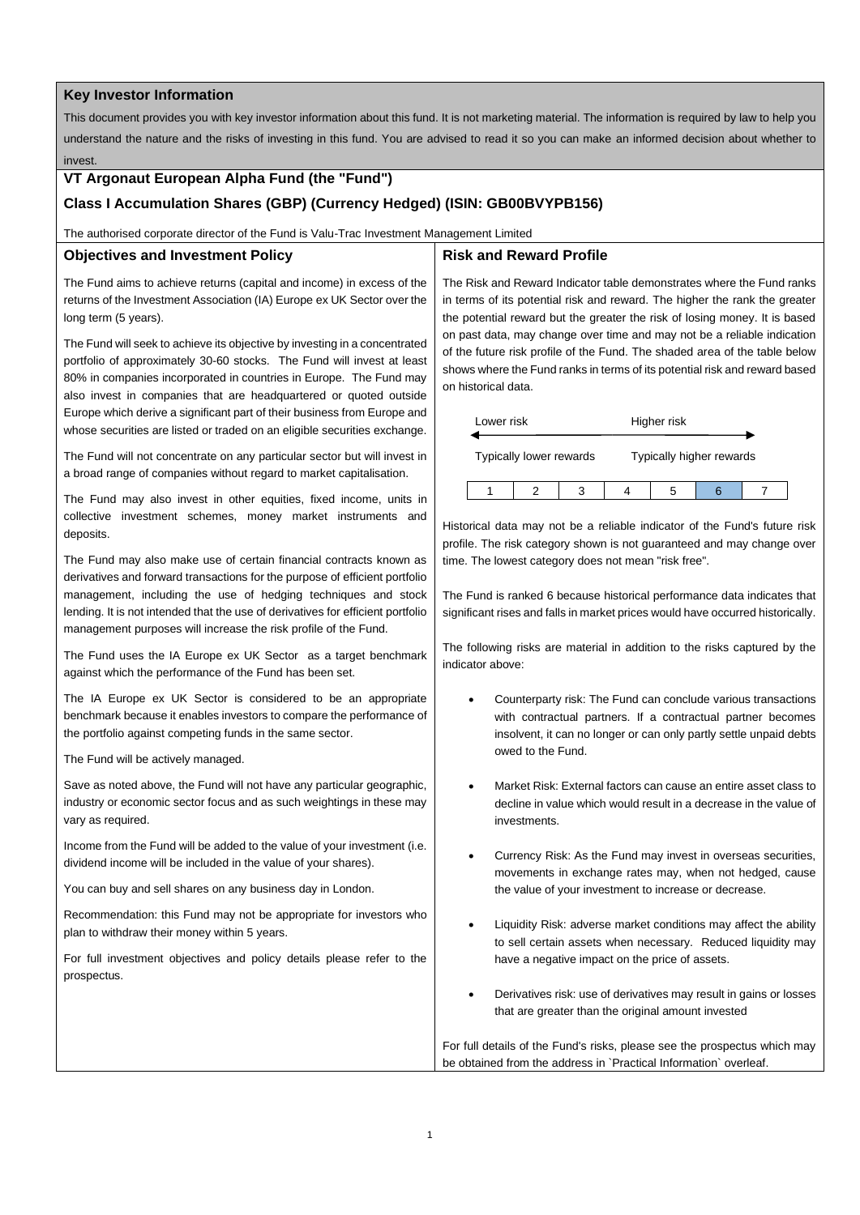#### **Key Investor Information**

This document provides you with key investor information about this fund. It is not marketing material. The information is required by law to help you understand the nature and the risks of investing in this fund. You are advised to read it so you can make an informed decision about whether to invest.

### **VT Argonaut European Alpha Fund (the "Fund")**

# **Class I Accumulation Shares (GBP) (Currency Hedged) (ISIN: GB00BVYPB156)**

The authorised corporate director of the Fund is Valu-Trac Investment Management Limited

## **Objectives and Investment Policy**

The Fund aims to achieve returns (capital and income) in excess of the returns of the Investment Association (IA) Europe ex UK Sector over the long term (5 years).

The Fund will seek to achieve its objective by investing in a concentrated portfolio of approximately 30-60 stocks. The Fund will invest at least 80% in companies incorporated in countries in Europe. The Fund may also invest in companies that are headquartered or quoted outside Europe which derive a significant part of their business from Europe and whose securities are listed or traded on an eligible securities exchange.

The Fund will not concentrate on any particular sector but will invest in a broad range of companies without regard to market capitalisation.

The Fund may also invest in other equities, fixed income, units in collective investment schemes, money market instruments and deposits.

The Fund may also make use of certain financial contracts known as derivatives and forward transactions for the purpose of efficient portfolio management, including the use of hedging techniques and stock lending. It is not intended that the use of derivatives for efficient portfolio management purposes will increase the risk profile of the Fund.

The Fund uses the IA Europe ex UK Sector as a target benchmark against which the performance of the Fund has been set.

The IA Europe ex UK Sector is considered to be an appropriate benchmark because it enables investors to compare the performance of the portfolio against competing funds in the same sector.

The Fund will be actively managed.

Save as noted above, the Fund will not have any particular geographic, industry or economic sector focus and as such weightings in these may vary as required.

Income from the Fund will be added to the value of your investment (i.e. dividend income will be included in the value of your shares).

You can buy and sell shares on any business day in London.

Recommendation: this Fund may not be appropriate for investors who plan to withdraw their money within 5 years.

For full investment objectives and policy details please refer to the prospectus.

## **Risk and Reward Profile**

The Risk and Reward Indicator table demonstrates where the Fund ranks in terms of its potential risk and reward. The higher the rank the greater the potential reward but the greater the risk of losing money. It is based on past data, may change over time and may not be a reliable indication of the future risk profile of the Fund. The shaded area of the table below shows where the Fund ranks in terms of its potential risk and reward based on historical data.

| Lower risk              |  |  | Higher risk              |  |  |  |
|-------------------------|--|--|--------------------------|--|--|--|
| Typically lower rewards |  |  | Typically higher rewards |  |  |  |
|                         |  |  |                          |  |  |  |

Historical data may not be a reliable indicator of the Fund's future risk profile. The risk category shown is not guaranteed and may change over time. The lowest category does not mean "risk free".

The Fund is ranked 6 because historical performance data indicates that significant rises and falls in market prices would have occurred historically.

The following risks are material in addition to the risks captured by the indicator above:

- Counterparty risk: The Fund can conclude various transactions with contractual partners. If a contractual partner becomes insolvent, it can no longer or can only partly settle unpaid debts owed to the Fund.
- Market Risk: External factors can cause an entire asset class to decline in value which would result in a decrease in the value of investments.
- Currency Risk: As the Fund may invest in overseas securities, movements in exchange rates may, when not hedged, cause the value of your investment to increase or decrease.
- Liquidity Risk: adverse market conditions may affect the ability to sell certain assets when necessary. Reduced liquidity may have a negative impact on the price of assets.
- Derivatives risk: use of derivatives may result in gains or losses that are greater than the original amount invested

For full details of the Fund's risks, please see the prospectus which may be obtained from the address in `Practical Information` overleaf.